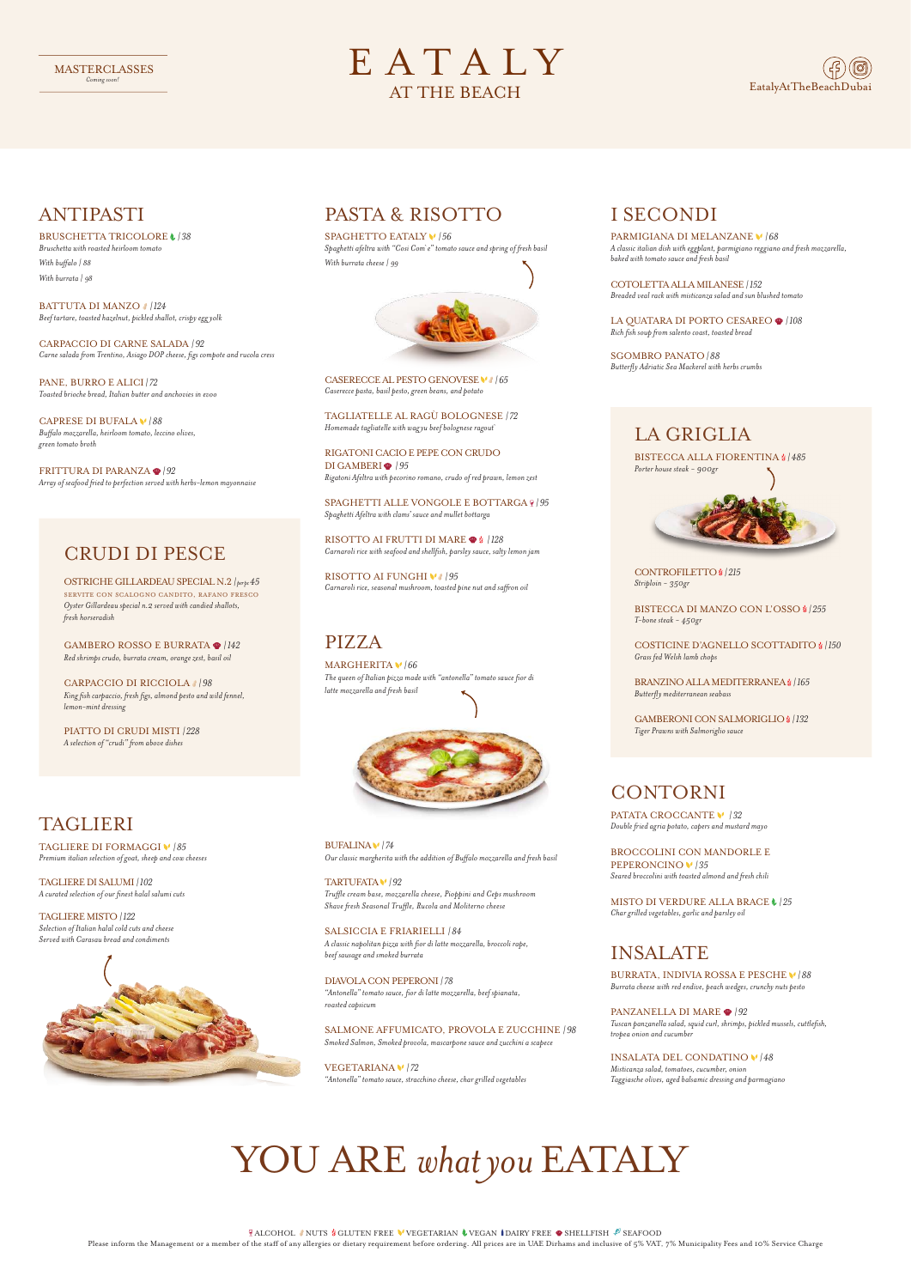### I SECONDI

PARMIGIANA DI MELANZANE *| 68 A classic italian dish with eggplant, parmigiano reggiano and #esh mozzarella, baked with tomato sauce and #esh basil*

COTOLETTA ALLA MILANESE *| 152 Breaded veal rack with misticanza salad and sun blushed tomato*

BROCCOLINI CON MANDORLE E PEPERONCINO *| 35*  $Seared broccolini with toasted\ almond and fresh\ chili$ 

LA QUATARA DI PORTO CESAREO *| 108 Rich fish soup #om salento coast, toasted bread*

MARGHERITA *| 66 The queen of Italian pizza made with "antonella" tomato sauce fior di*   $l$ *atte mozzarella and fresh basil* 



SGOMBRO PANATO *| 88 Butterfly Adriatic Sea Mackerel with herbs crumbs* 

# CONTORNI

PATATA CROCCANTE *| 32 Double #ied agria potato, capers and mustard mayo*

MISTO DI VERDURE ALLA BRACE *| 25 Char grilled vegetables, garlic and parsley oil*

# PIZZA

BUFALINA *| 74 Our classic margherita with the addition of Buffalo mozzarella and #esh basil*

TARTUFATA *| 92 Truffle cream base, mozzarella cheese, Pioppini and Ceps mushroom Shave #esh Seasonal Truffle, Rucola and Moliterno cheese*

SALSICCIA E FRIARIELLI *| 84 A classic napolitan pizza with fior di latte mozzarella, broccoli rape, beef sausage and smoked burrata*

### DIAVOLA CON PEPERONI *| 78*

*"Antonella" tomato sauce, fior di latte mozzarella, beef spianata, roasted capsicum*

#### SALMONE AFFUMICATO, PROVOLA E ZUCCHINE *| 98*

*Smoked Salmon, Smoked provola, mascarpone sauce and zucchini a scapece* 

#### VEGETARIANA *| 72*

*"Antonella" tomato sauce, stracchino cheese, char grilled vegetables*

#### PANZANELLA DI MARE  $\mathcal{D}/92$

## ANTIPASTI

RISOTTO AI FRUTTI DI MARE <sup>128</sup> *Carnaroli rice with seafood and shellfish, parsley sauce, salty lemon jam*

### BRUSCHETTA TRICOLORE *| 38*

RISOTTO AI FUNGHI *M* / 95 *Carnaroli rice, seasonal mushroom, toasted pine nut and sa.on oil*

*Bruschetta with roasted heirloom tomato With buffalo | 88 With burrata | 98*

BATTUTA DI MANZO *| 124 Beef tartare, toasted hazelnut, pickled shallot, crispy egg yolk*

CARPACCIO DI CARNE SALADA *| 92 Carne salada #om Trentino, Asiago DOP cheese, figs compote and rucola cress*

PANE, BURRO E ALICI *| 72 Toasted brioche bread, Italian butter and anchovies in evoo*

CAPRESE DI BUFALA *| 88 Buffalo mozzarella, heirloom tomato, leccino olives, green tomato broth*

FRITTURA DI PARANZA *| 92 Array of seafood #ied to perfection served with herbs-lemon mayonnaise* BISTECCA ALLA FIORENTINA  $\frac{1}{2}$  / 485 *Porter house steak - 900gr*



Please inform the Management or a member of the staff of any allergies or dietary requirement before ordering. All prices are in UAE Dirhams and inclusive of 5% VAT, 7% Municipality Fees and 10% Service Charge

# PASTA & RISOTTO

### SPAGHETTO EATALY *| 56*

*Spaghetti afeltra with "Cosi Com`e" tomato sauce and spring of #esh basil With burrata cheese | 99*



CASERECCE AL PESTO GENOVESE *| 65 Caserecce pasta, basil pesto, green beans, and potato*

TAGLIATELLE AL RAGÙ BOLOGNESE *| 72 Homemade tagliatelle with wag yu beef bolognese ragout`*

RIGATONI CACIO E PEPE CON CRUDO DI GAMBERI *| 95 Rigatoni Afeltra with pecorino romano, crudo of red prawn, lemon zest*

SPAGHETTI ALLE VONGOLE E BOTTARGA *| 95 Spaghetti Afeltra with clams' sauce and mullet bottarga*



### INSALATE

BURRATA, INDIVIA ROSSA E PESCHE *| 88 Burrata cheese with red endive, peach wedges, crunchy nuts pesto*



*Tuscan panzanella salad, squid curl, shrimps, pickled mussels, cuttlefish, tropea onion and cucumber*

#### INSALATA DEL CONDATINO *| 48*

*Misticanza salad, tomatoes, cucumber, onion Taggiasche olives, aged balsamic dressing and parmagiano*

# YOU ARE *what you* EATALY

**FALCOHOL NUTS & GLUTEN FREE VEGETARIAN & VEGAN IDAIRY FREE**  $\bullet$  **SHELLFISH**  $\mathcal{L}$  **SEAFOOD** 

### CRUDI DI PESCE

OSTRICHE GILLARDEAU SPECIAL N.2 *| per pc45* SERVITE CON SCALOGNO CANDITO, RAFANO FRESCO *Oyster Gillardeau special n.2 served with candied shallots, #esh horseradish*

GAMBERO ROSSO E BURRATA *| 142 Red shrimps crudo, burrata cream, orange zest, basil oil*

CARPACCIO DI RICCIOLA *| 98 King fish carpaccio, #esh figs, almond pesto and wild fennel, lemon-mint dressing*

PIATTO DI CRUDI MISTI *| 228 A selection of "crudi" #om above dishes*

# TAGLIERI

TAGLIERE DI FORMAGGI *| 85 Premium italian selection of goat, sheep and cow cheeses*

TAGLIERE DI SALUMI *| 102 A curated selection of our finest halal salumi cuts*

TAGLIERE MISTO *| 122 Selection of Italian halal cold cuts and cheese Served with Carasau bread and condiments*

# EATALY AT THE BEACH

# LA GRIGLIA

CONTROFILETTO *| 215 Striploin - 350gr*

BISTECCA DI MANZO CON L'OSSO *| 255 T-bone steak - 450gr*

COSTICINE D'AGNELLO SCOTTADITO *| 150 Grass fed Welsh lamb chops*

BRANZINO ALLA MEDITERRANEA *| 165 Butterfly mediterranean seabass*

GAMBERONI CON SALMORIGLIO *| 132 Tiger Prawns with Salmoriglio sauce*